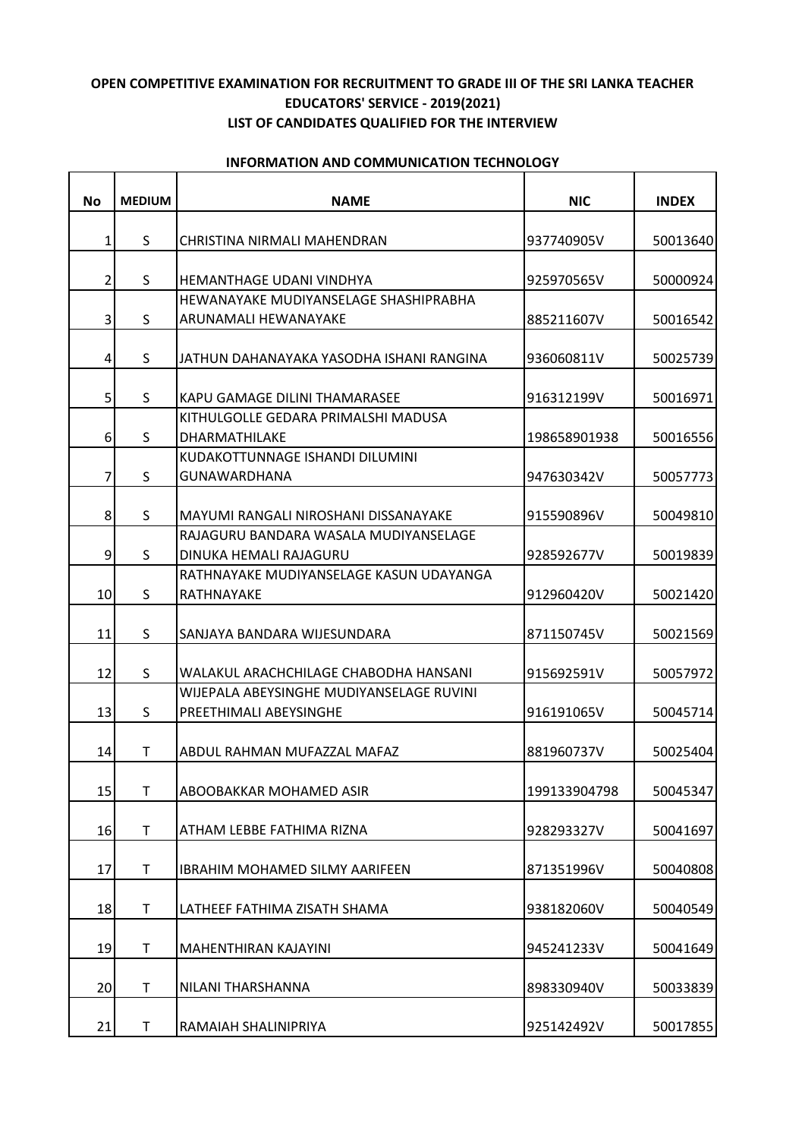## **OPEN COMPETITIVE EXAMINATION FOR RECRUITMENT TO GRADE III OF THE SRI LANKA TEACHER EDUCATORS' SERVICE - 2019(2021) LIST OF CANDIDATES QUALIFIED FOR THE INTERVIEW**

| No             | <b>MEDIUM</b> | <b>NAME</b>                                                        | <b>NIC</b>   | <b>INDEX</b> |
|----------------|---------------|--------------------------------------------------------------------|--------------|--------------|
| $\mathbf{1}$   | S             | CHRISTINA NIRMALI MAHENDRAN                                        | 937740905V   | 50013640     |
| $\overline{2}$ | S             | HEMANTHAGE UDANI VINDHYA                                           | 925970565V   | 50000924     |
| $\overline{3}$ | S             | HEWANAYAKE MUDIYANSELAGE SHASHIPRABHA<br>ARUNAMALI HEWANAYAKE      | 885211607V   | 50016542     |
| $\overline{4}$ | S             | JATHUN DAHANAYAKA YASODHA ISHANI RANGINA                           | 936060811V   | 50025739     |
| 5 <sup>1</sup> | S             | KAPU GAMAGE DILINI THAMARASEE                                      | 916312199V   | 50016971     |
| $6 \mid$       | S             | KITHULGOLLE GEDARA PRIMALSHI MADUSA<br>DHARMATHILAKE               | 198658901938 | 50016556     |
| 7              | S             | KUDAKOTTUNNAGE ISHANDI DILUMINI<br>GUNAWARDHANA                    | 947630342V   | 50057773     |
| 8              | S             | MAYUMI RANGALI NIROSHANI DISSANAYAKE                               | 915590896V   | 50049810     |
| 9              | S             | RAJAGURU BANDARA WASALA MUDIYANSELAGE<br>DINUKA HEMALI RAJAGURU    | 928592677V   | 50019839     |
| 10             | S             | RATHNAYAKE MUDIYANSELAGE KASUN UDAYANGA<br>RATHNAYAKE              | 912960420V   | 50021420     |
| 11             | S             | SANJAYA BANDARA WIJESUNDARA                                        | 871150745V   | 50021569     |
| 12             | S.            | WALAKUL ARACHCHILAGE CHABODHA HANSANI                              | 915692591V   | 50057972     |
| 13             | S             | WIJEPALA ABEYSINGHE MUDIYANSELAGE RUVINI<br>PREETHIMALI ABEYSINGHE | 916191065V   | 50045714     |
| 14             | T             | ABDUL RAHMAN MUFAZZAL MAFAZ                                        | 881960737V   | 50025404     |
| 15             | T             | ABOOBAKKAR MOHAMED ASIR                                            | 199133904798 | 50045347     |
| 16             | $\mathsf{T}$  | ATHAM LEBBE FATHIMA RIZNA                                          | 928293327V   | 50041697     |
| 17             | T             | <b>IBRAHIM MOHAMED SILMY AARIFEEN</b>                              | 871351996V   | 50040808     |
| 18             | $\mathsf{T}$  | LATHEEF FATHIMA ZISATH SHAMA                                       | 938182060V   | 50040549     |
| 19             | T             | MAHENTHIRAN KAJAYINI                                               | 945241233V   | 50041649     |
| 20             | T             | NILANI THARSHANNA                                                  | 898330940V   | 50033839     |
| 21             | T             | RAMAIAH SHALINIPRIYA                                               | 925142492V   | 50017855     |

## **INFORMATION AND COMMUNICATION TECHNOLOGY**